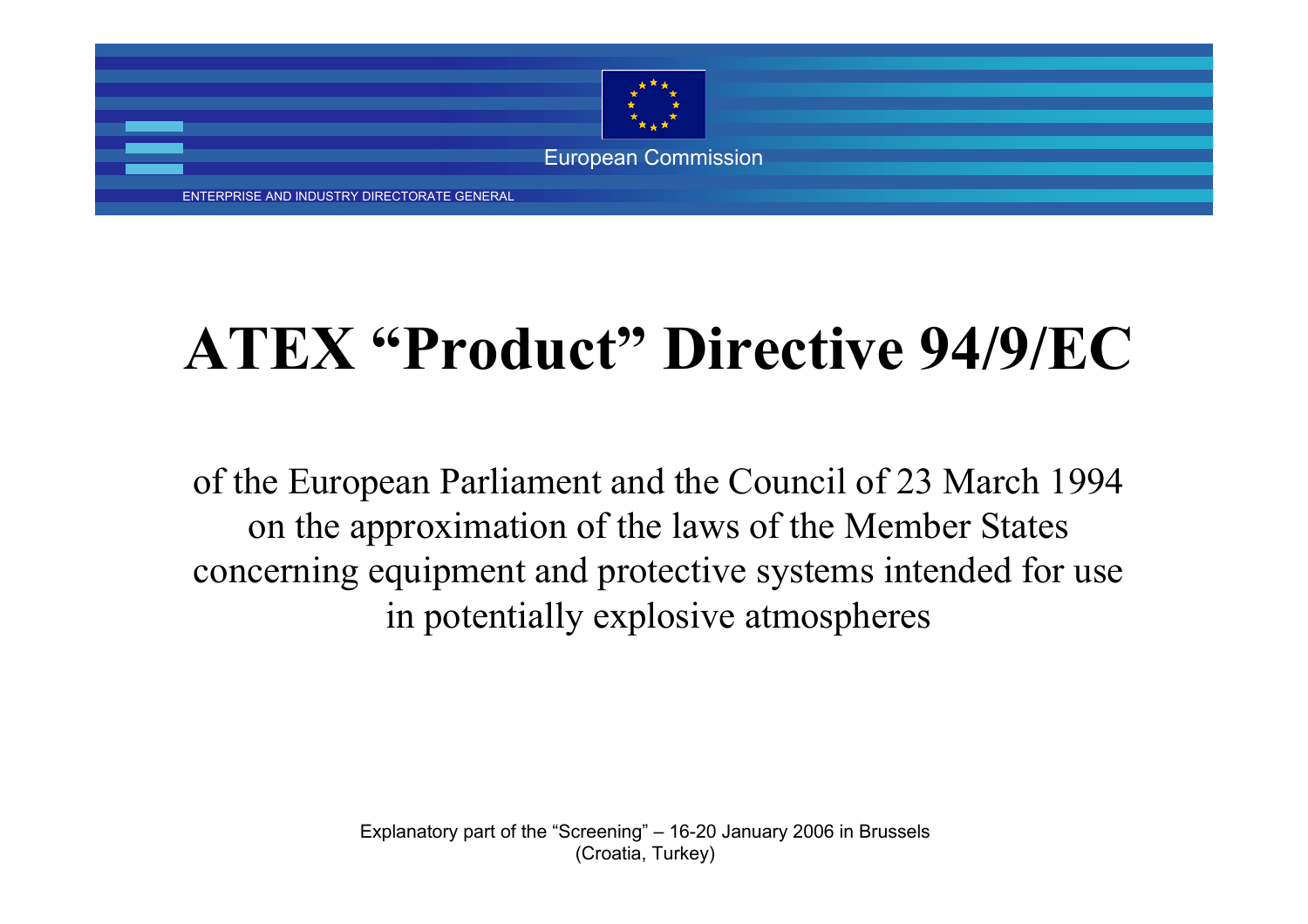

ENTERPRISE AND INDUSTRY DIRECTORATE GENERAL

### **ATEX "Product" Directive 94/9/EC**

of the European Parliament and the Council of 23 March 1994 on the approximation of the laws of the Member States concerning equipment and protective systems intended for use in potentially explosive atmospheres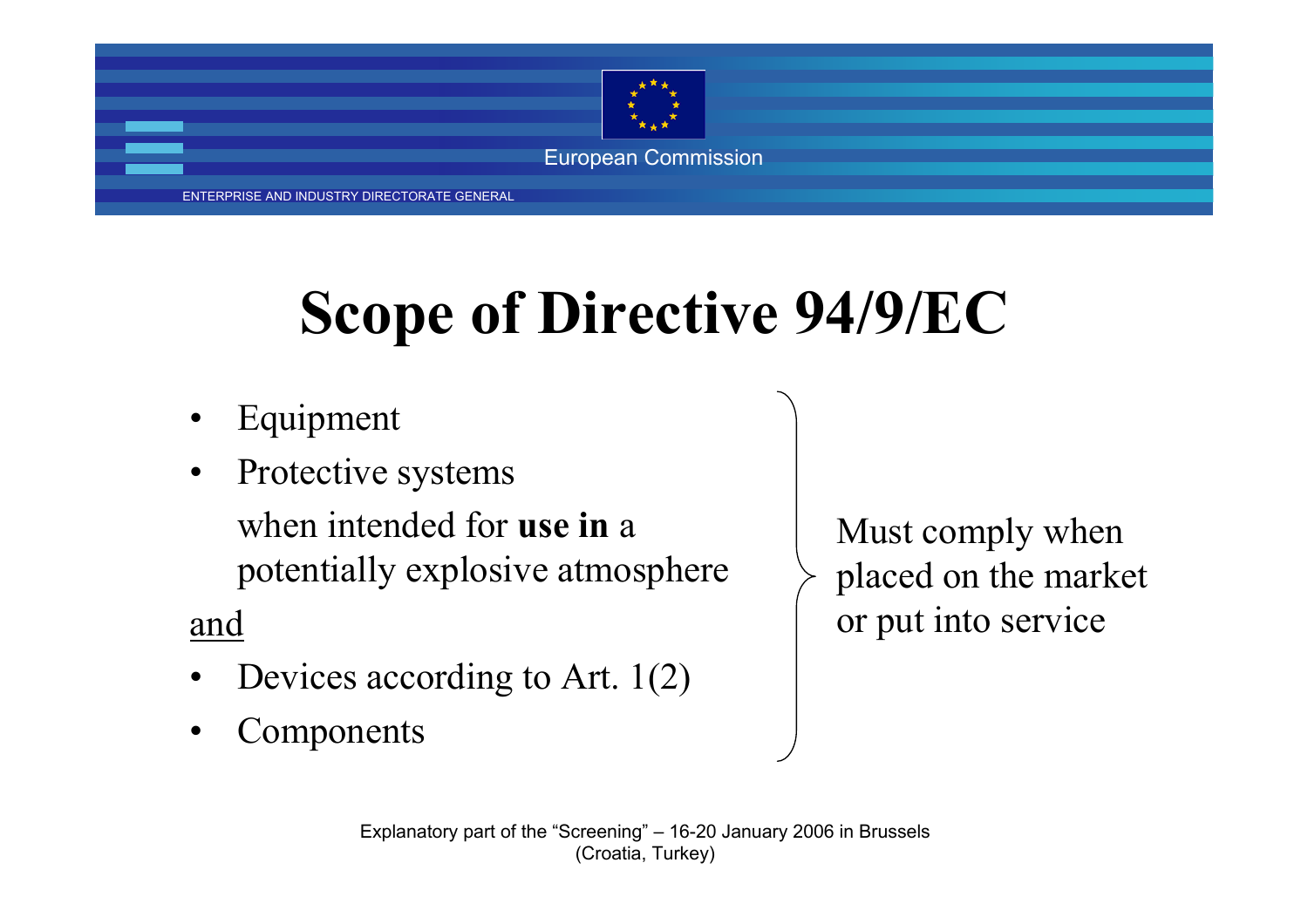

ENTERPRISE AND INDUSTRY DIRECTORATE GENERAL

## **Scope of Directive 94/9/EC**

- •Equipment
- • Protective systems when intended for **use in** apotentially explosive atmosphere

and

- •Devices according to Art. 1(2)
- •Components

Must comply when placed on the market or put into service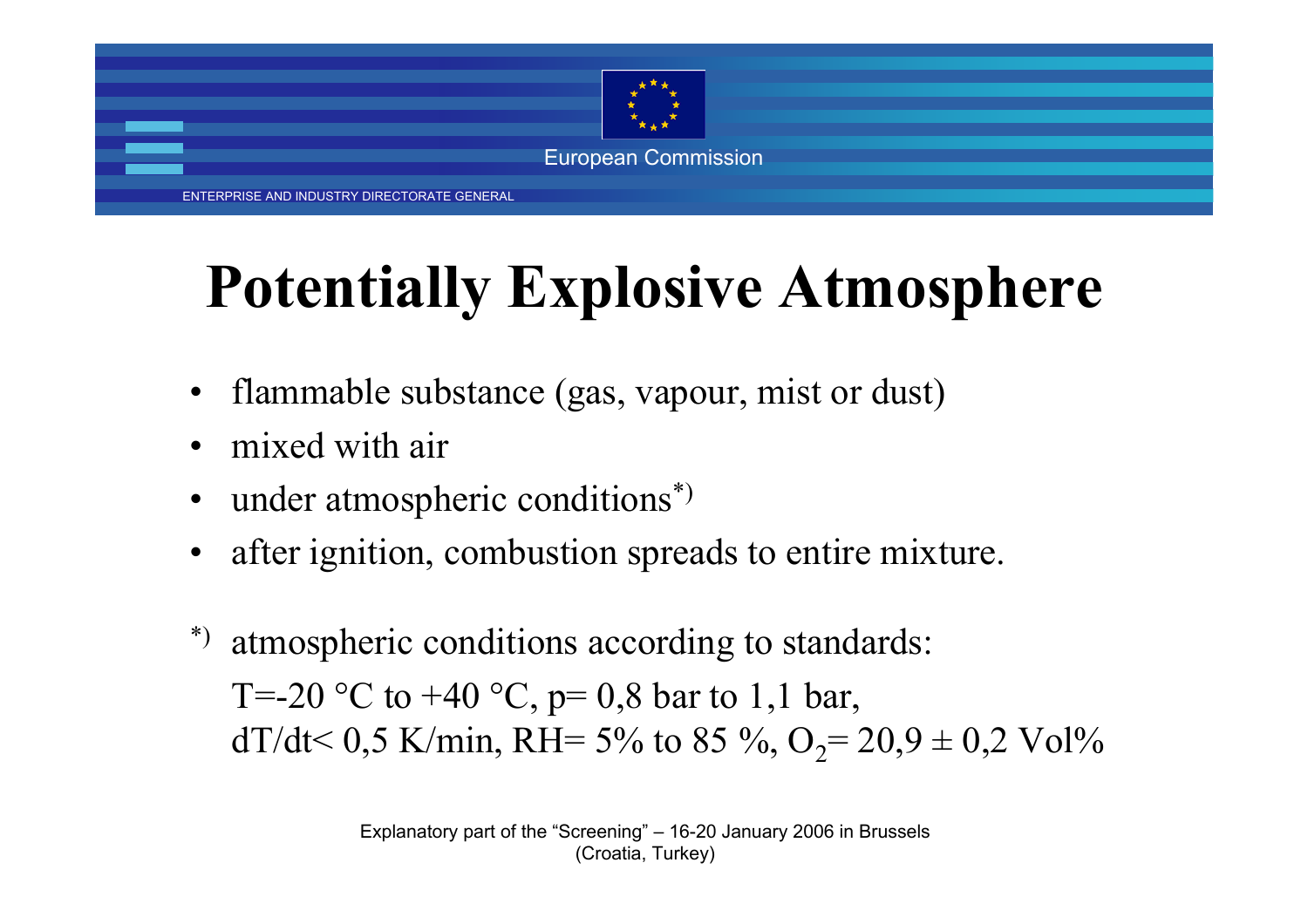

ENTERPRISE AND INDUSTRY DIRECTORATE GENERAL

# **Potentially Explosive Atmosphere**

- •flammable substance (gas, vapour, mist or dust)
- •mixed with air
- •under atmospheric conditions\*)
- •after ignition, combustion spreads to entire mixture.
- atmospheric conditions according to standards: T=-20 °C to +40 °C,  $p=0.8$  bar to 1,1 bar, dT/dt< 0,5 K/min, RH= 5% to 85 %,  $O_2$ = 20,9 ± 0,2 Vol%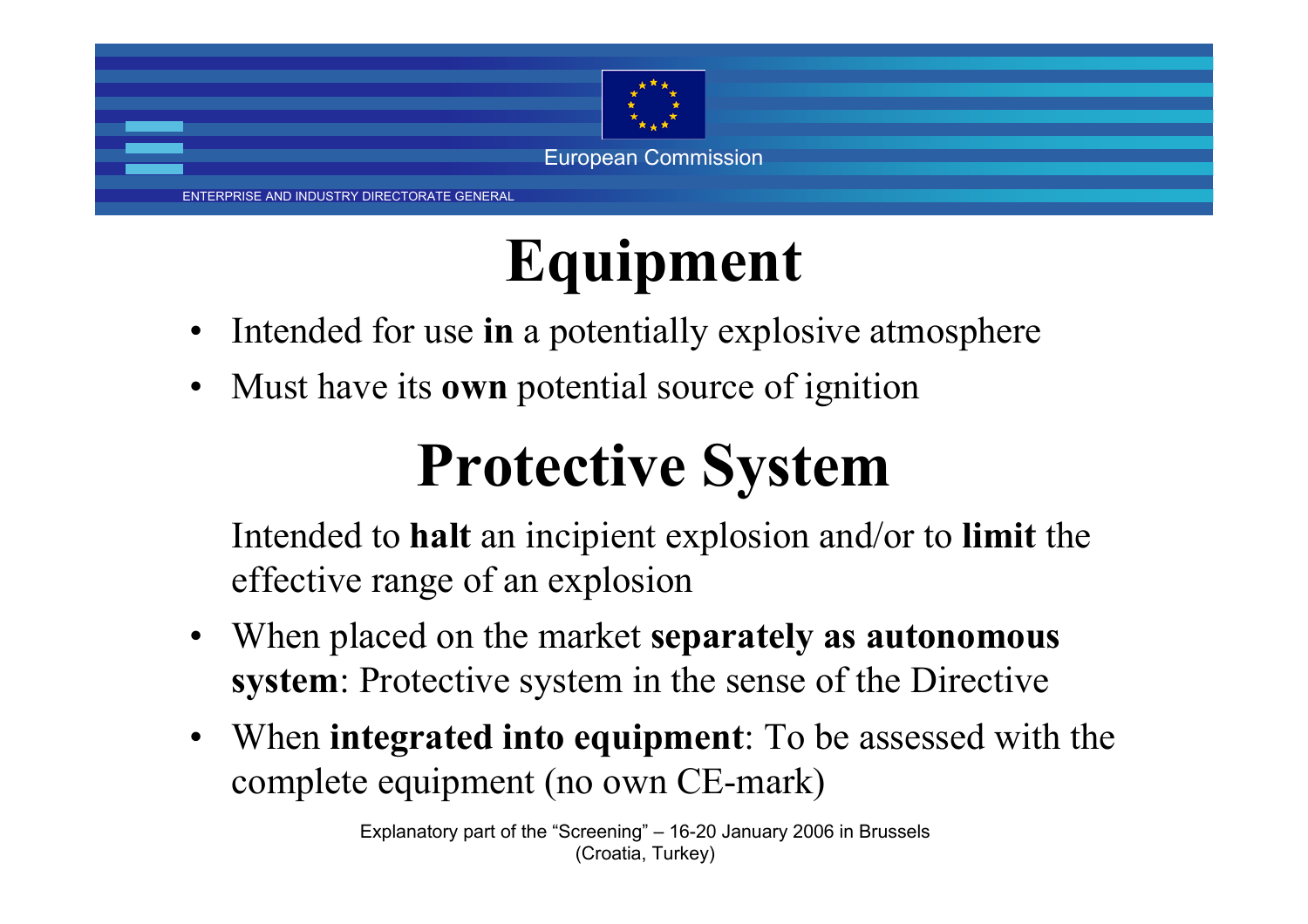

ENTERPRISE AND INDUSTRY DIRECTORATE GENERAL

## **Equipment**

- •Intended for use **in** a potentially explosive atmosphere
- •Must have its **own** potential source of ignition

### **Protective System**

Intended to **halt** an incipient explosion and/or to **limit** the effective range of an explosion

- • When placed on the market **separately as autonomous system**: Protective system in the sense of the Directive
- When **integrated into equipment**: To be assessed with the complete equipment (no own CE-mark)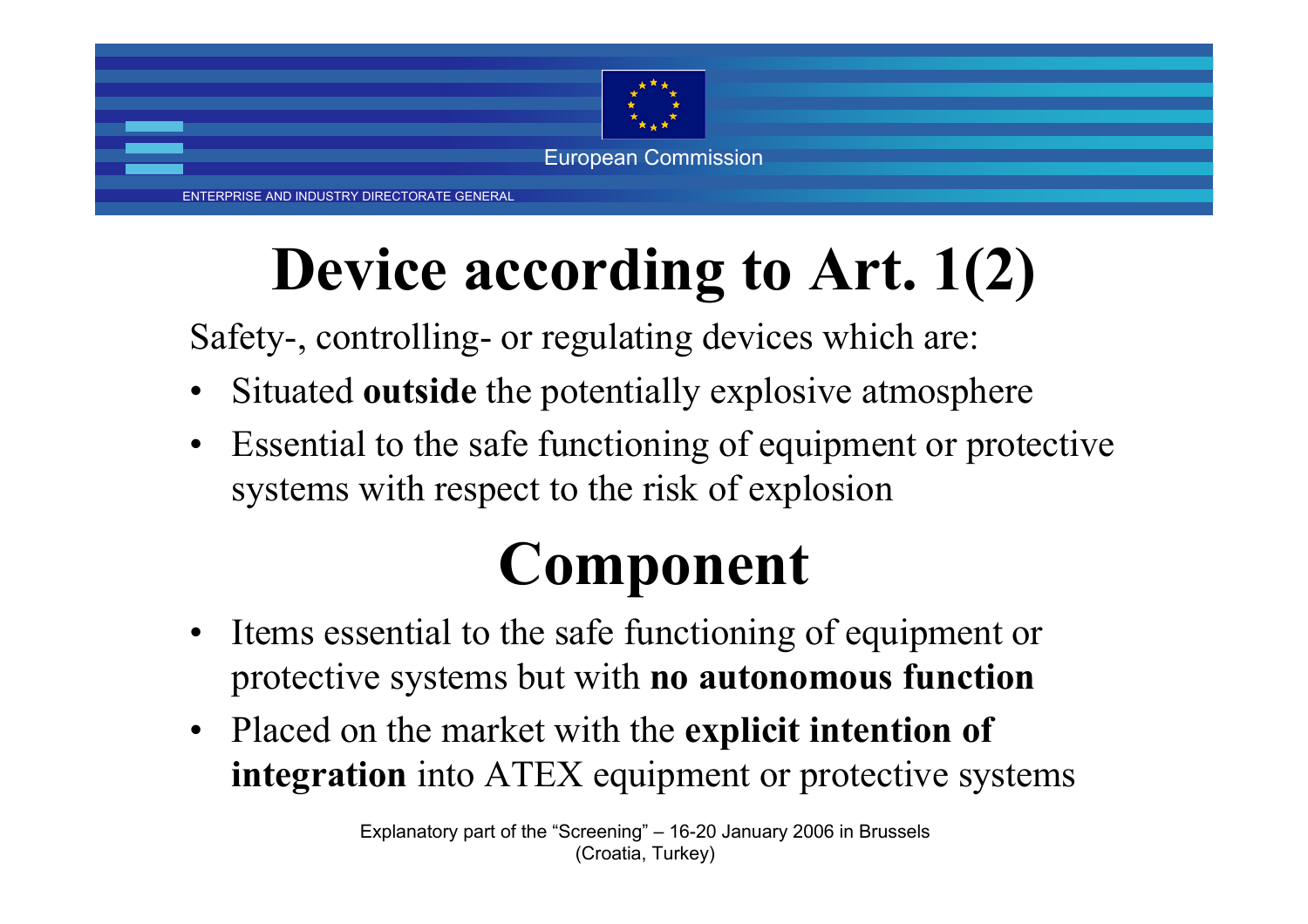

ENTERPRISE AND INDUSTRY DIRECTORATE GENERAL

## **Device according to Art. 1(2)**

Safety-, controlling- or regulating devices which are:

- •Situated **outside** the potentially explosive atmosphere
- • Essential to the safe functioning of equipment or protective systems with respect to the risk of explosion

### **Component**

- Items essential to the safe functioning of equipment or protective systems but with **no autonomous function**
- $\bullet$  Placed on the market with the **explicit intention of integration** into ATEX equipment or protective systems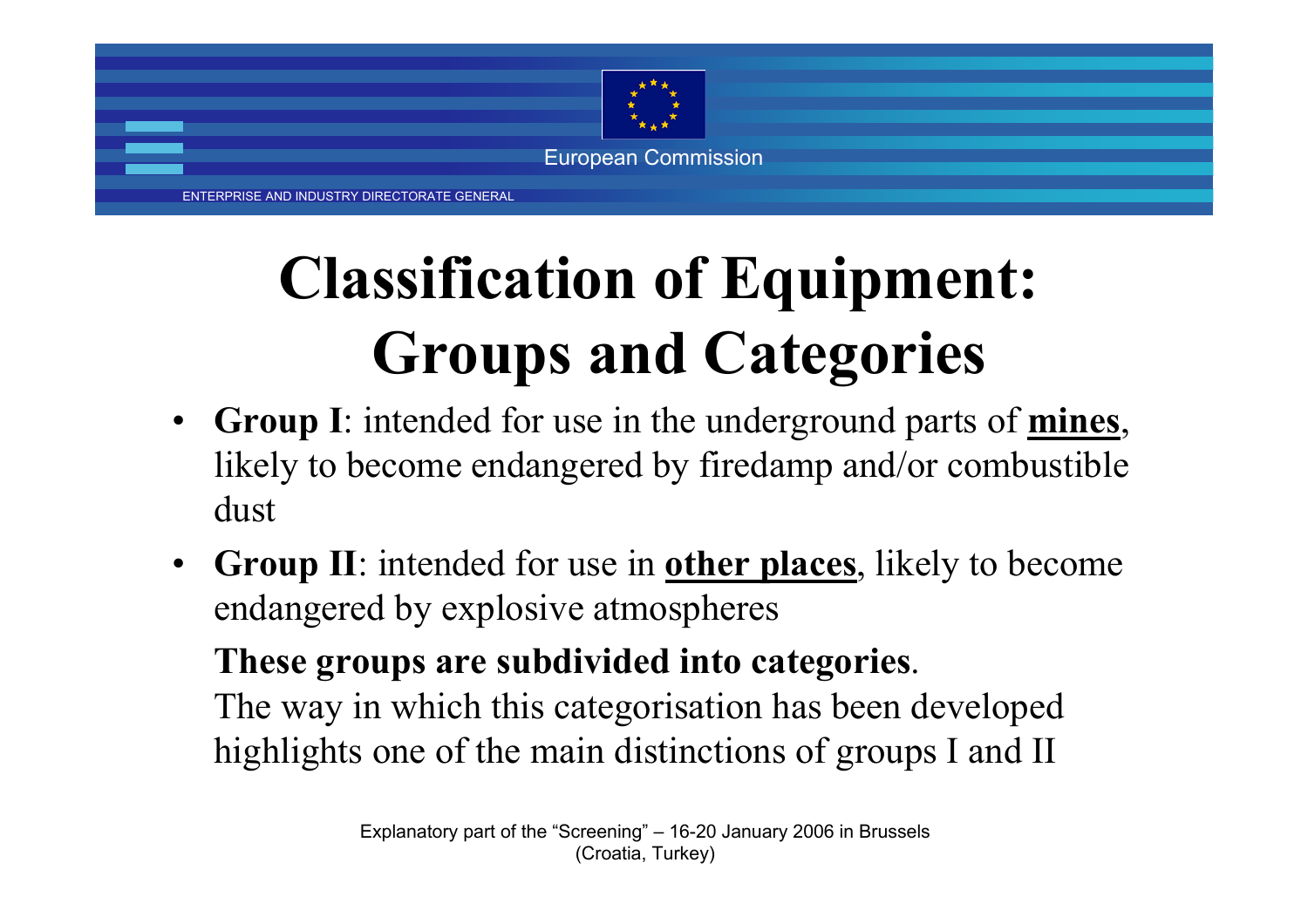

# **Classification of Equipment: Groups and Categories**

- **Group I**: intended for use in the underground parts of **mines**, likely to become endangered by firedamp and/or combustible dust
- • **Group II**: intended for use in **other places**, likely to become endangered by explosive atmospheres

**These groups are subdivided into categories**. The way in which this categorisation has been developed

highlights one of the main distinctions of groups I and II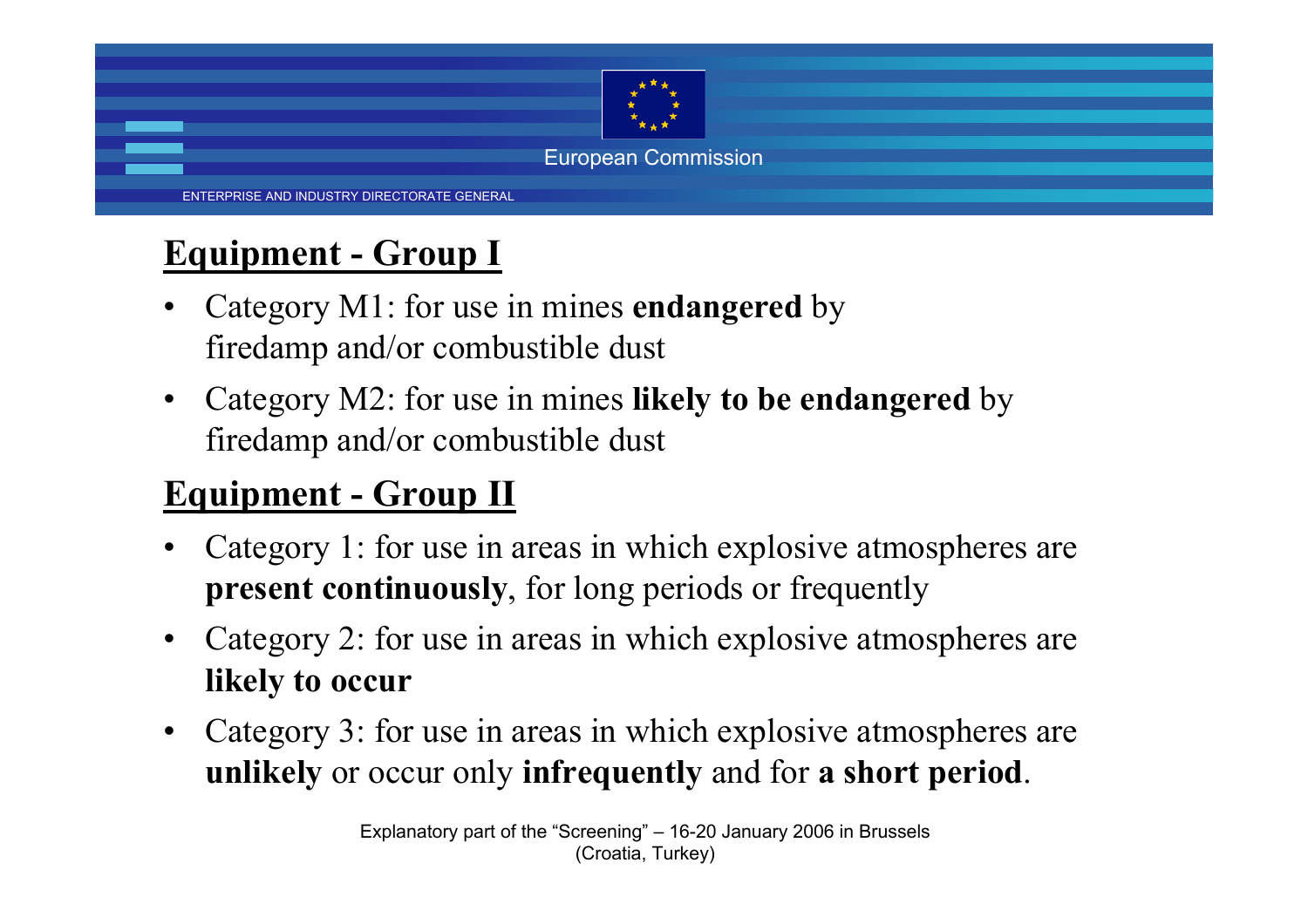

### **Equipment - Group I**

- • Category M1: for use in mines **endangered** by firedamp and/or combustible dust
- • Category M2: for use in mines **likely to be endangered** by firedamp and/or combustible dust

### **Equipment - Group II**

- • Category 1: for use in areas in which explosive atmospheres are **present continuously**, for long periods or frequently
- • Category 2: for use in areas in which explosive atmospheres are **likely to occur**
- • Category 3: for use in areas in which explosive atmospheres are **unlikely** or occur only **infrequently** and for **a short period**.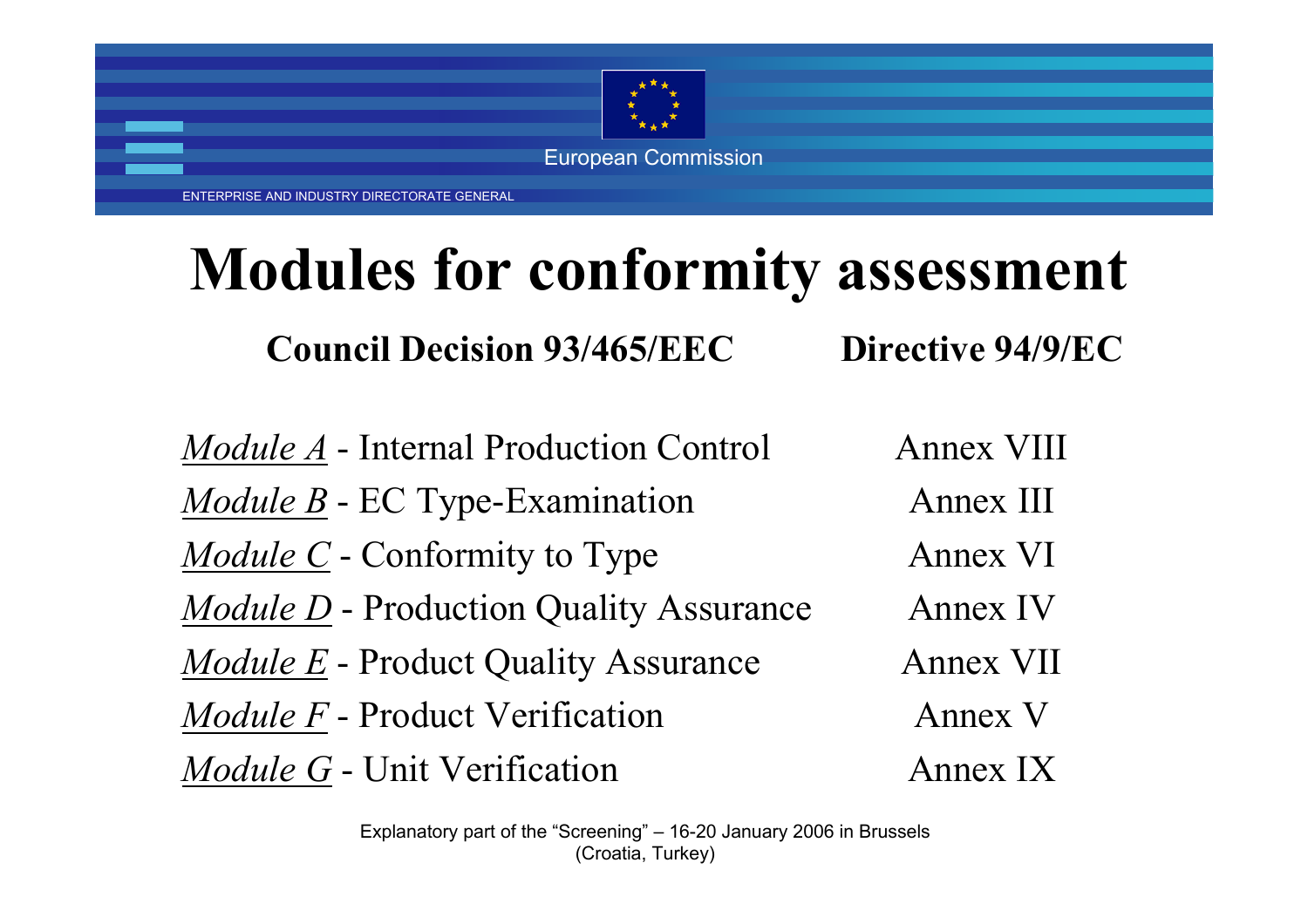

ENTERPRISE AND INDUSTRY DIRECTORATE GENERAL

### **Modules for conformity assessment**

**Council Decision 93/465/EECDirective 94/9/EC**

*Module A* - Internal Production Control *Module B* - EC Type-Examination *Module C* - Conformity to Type *Module D* - Production Quality Assurance *Module E* - Product Quality Assurance *Module F* - Product Verification *Module G* - Unit Verification Annex VIII Annex IIIAnnex VI Annex IVAnnex VII Annex VAnnex IX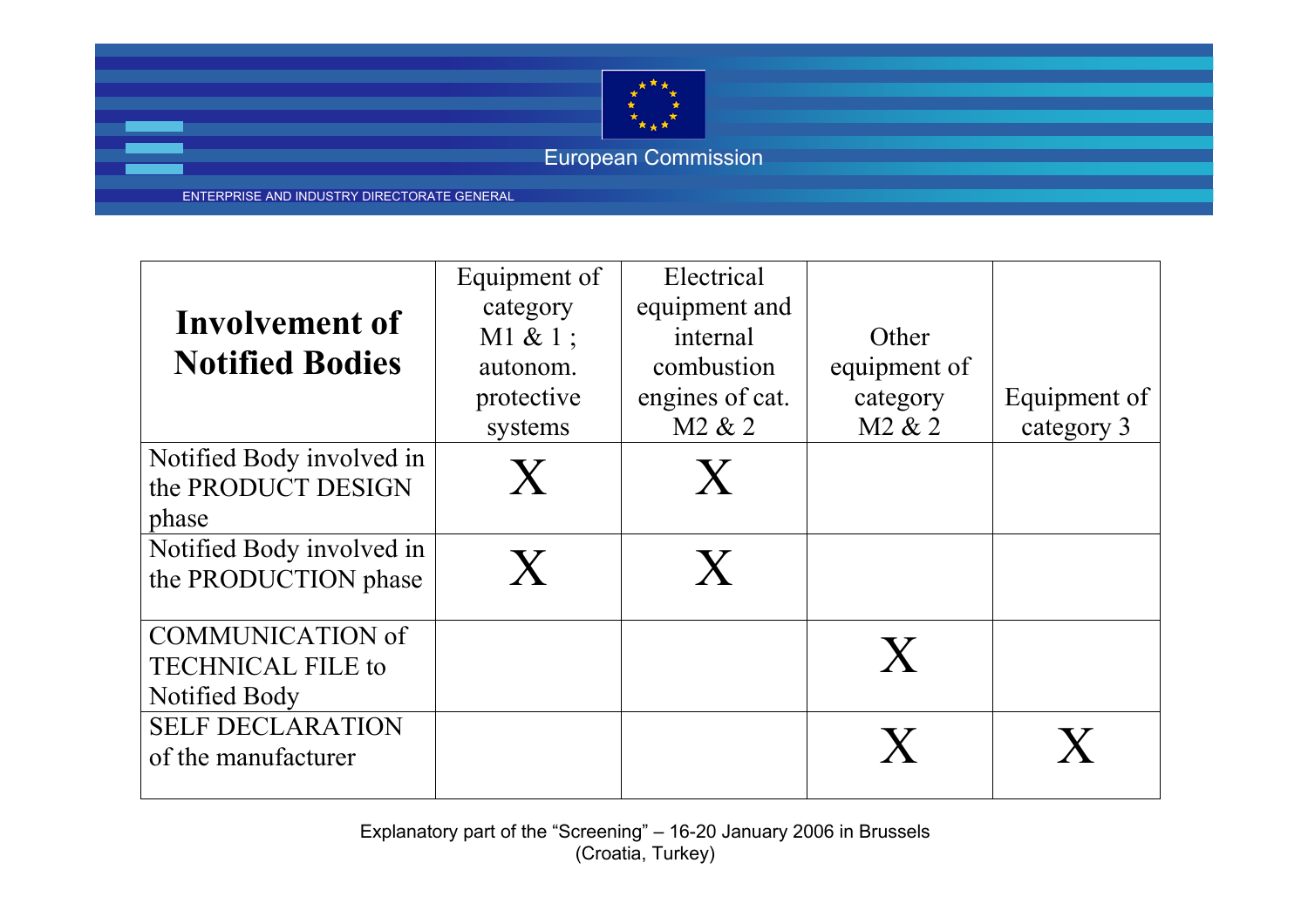

ENTERPRISE AND INDUSTRY DIRECTORATE GENERAL

| Involvement of<br><b>Notified Bodies</b><br>Notified Body involved in<br>the PRODUCT DESIGN | Equipment of<br>category<br>$M1 & 1$ ;<br>autonom.<br>protective<br>systems<br>X | Electrical<br>equipment and<br>internal<br>combustion<br>engines of cat.<br>M <sub>2</sub> & <sub>2</sub><br>$\mathbf{X}$ | Other<br>equipment of<br>category<br>M <sub>2</sub> & <sub>2</sub> | Equipment of<br>category 3 |
|---------------------------------------------------------------------------------------------|----------------------------------------------------------------------------------|---------------------------------------------------------------------------------------------------------------------------|--------------------------------------------------------------------|----------------------------|
| phase                                                                                       |                                                                                  |                                                                                                                           |                                                                    |                            |
| Notified Body involved in<br>the PRODUCTION phase                                           | X                                                                                | $\mathbf{X}$                                                                                                              |                                                                    |                            |
| <b>COMMUNICATION of</b><br><b>TECHNICAL FILE to</b><br>Notified Body                        |                                                                                  |                                                                                                                           | X                                                                  |                            |
| <b>SELF DECLARATION</b><br>of the manufacturer                                              |                                                                                  |                                                                                                                           | X                                                                  |                            |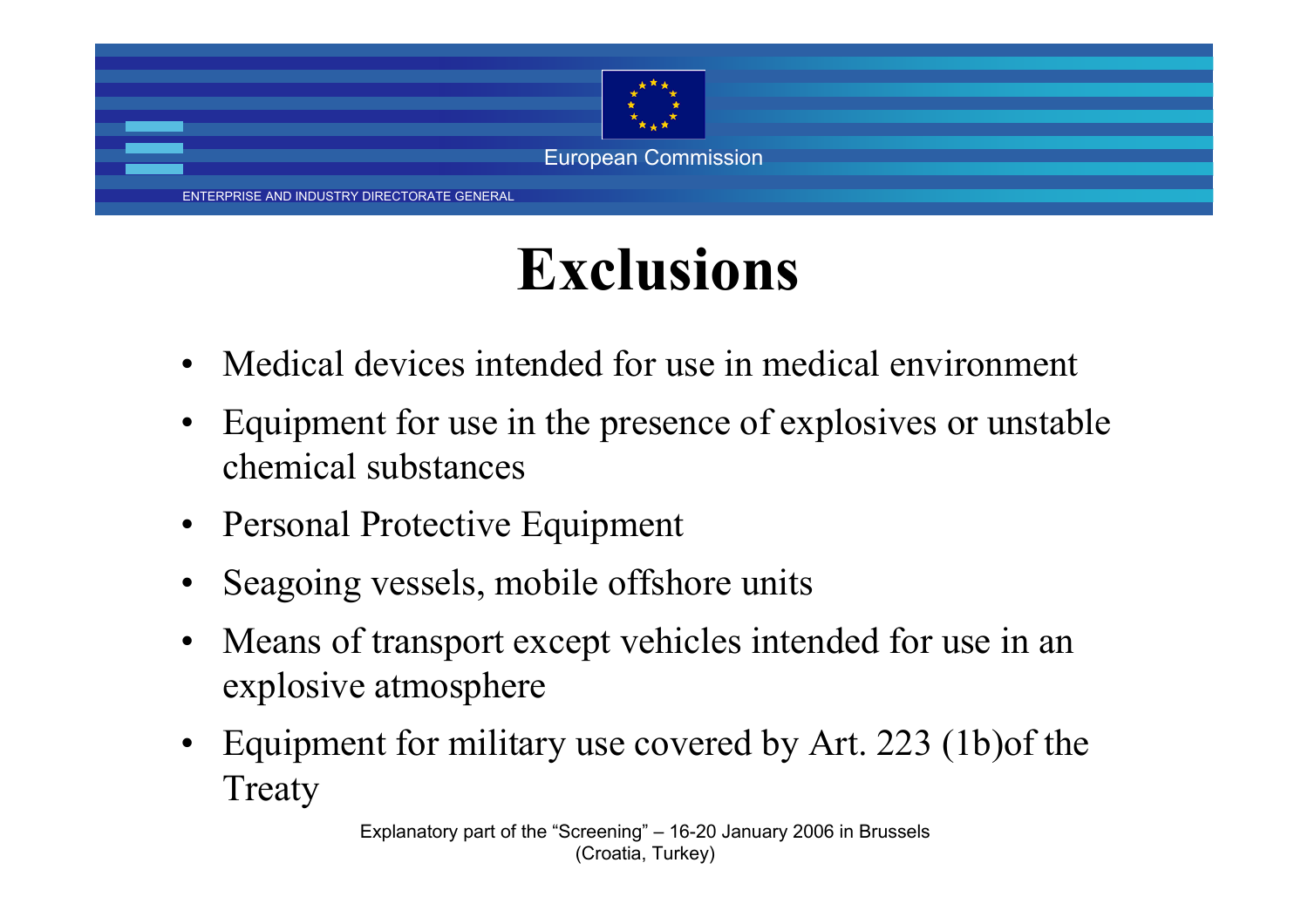

### **Exclusions**

- •Medical devices intended for use in medical environment
- • Equipment for use in the presence of explosives or unstable chemical substances
- •Personal Protective Equipment
- •Seagoing vessels, mobile offshore units
- • Means of transport except vehicles intended for use in an explosive atmosphere
- • Equipment for military use covered by Art. 223 (1b)of the Treaty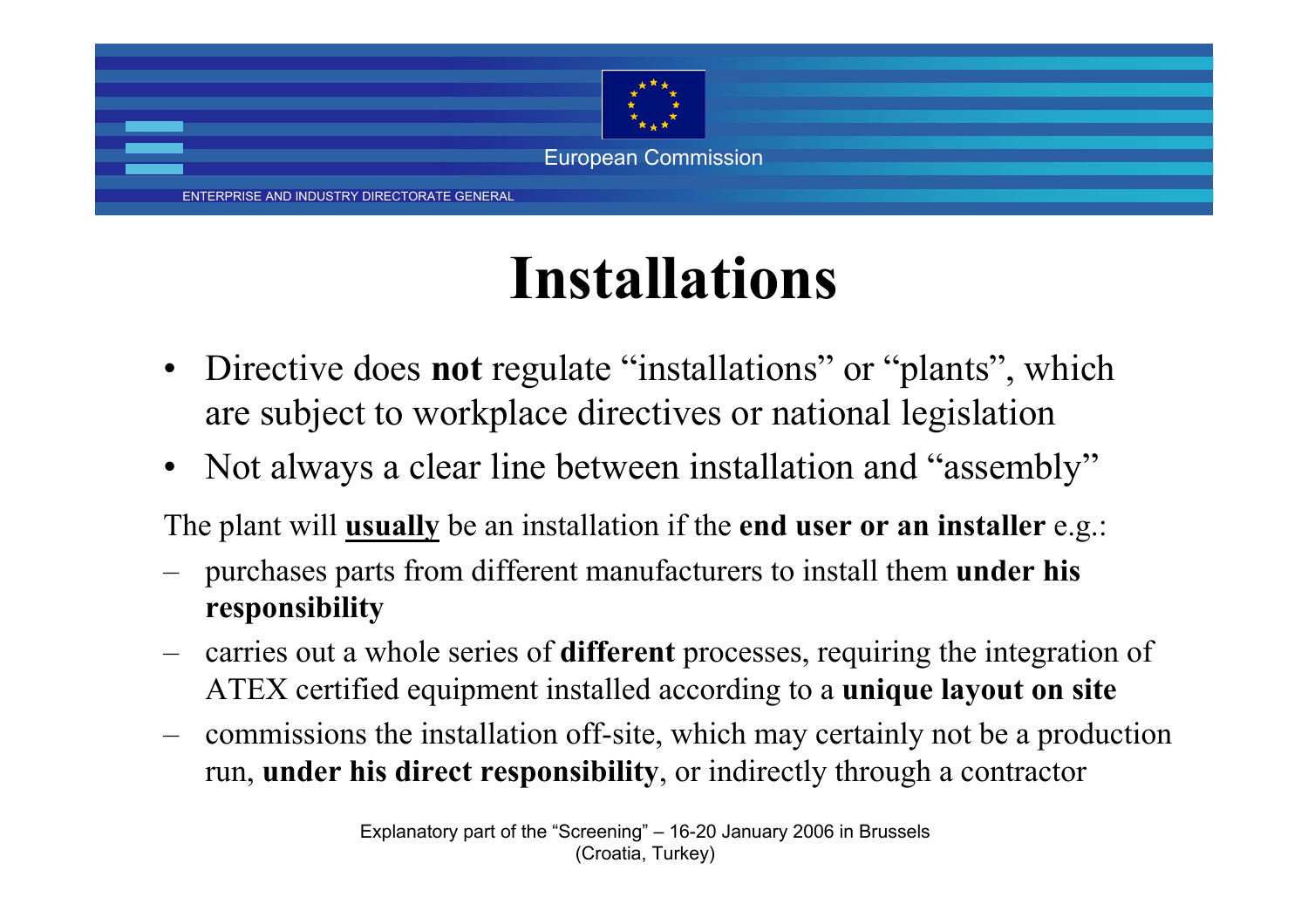

### **Installations**

- Directive does **not** regulate "installations" or "plants", which are subject to workplace directives or national legislation
- Not always a clear line between installation and "assembly"

The plant will **usually** be an installation if the **end user or an installer** e.g.:

- – purchases parts from different manufacturers to install them **under his responsibility**
- carries out a whole series of **different** processes, requiring the integration of ATEX certified equipment installed according to a **unique layout on site**
- – commissions the installation off-site, which may certainly not be a production run, **under his direct responsibility**, or indirectly through a contractor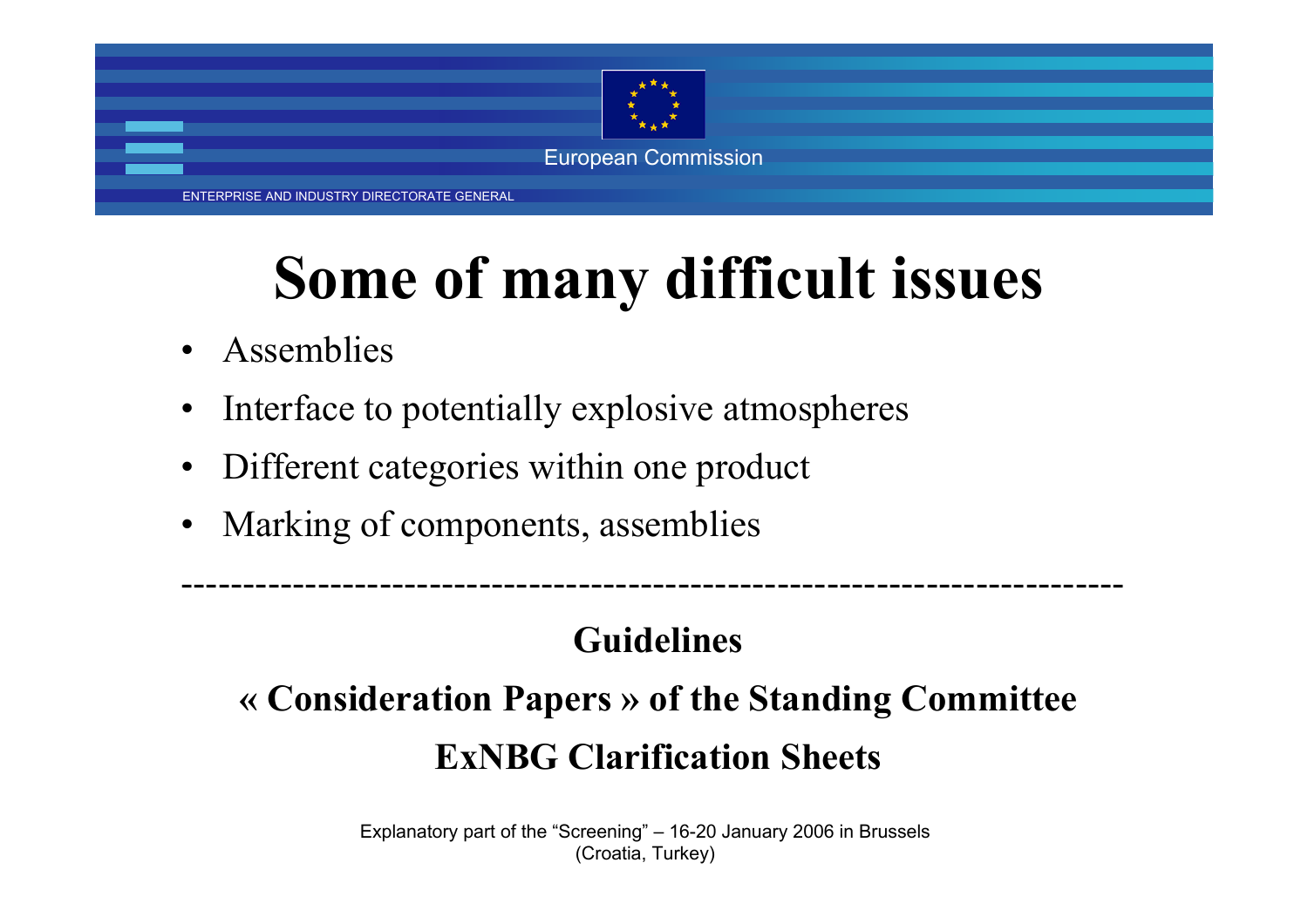

ENTERPRISE AND INDUSTRY DIRECTORATE GENERAL

# **Some of many difficult issues**

- •Assemblies
- •Interface to potentially explosive atmospheres
- •Different categories within one product
- •Marking of components, assemblies

#### **Guidelines**

----------------------------------------------------------------------------

### **« Consideration Papers » of the Standing Committee ExNBG Clarification Sheets**